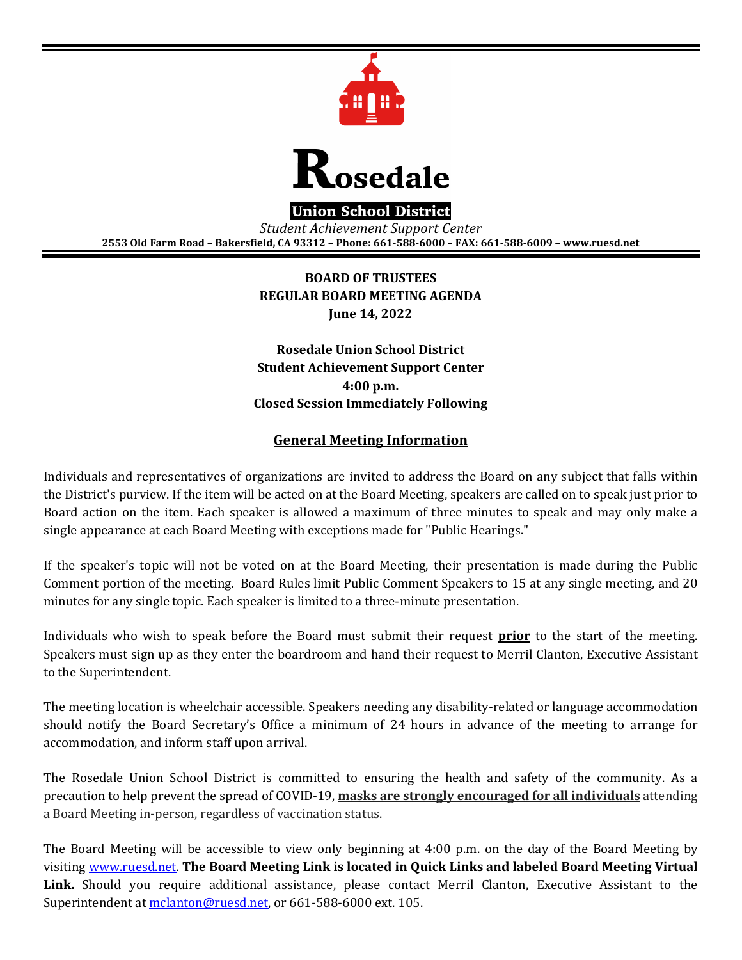



**Union School District** 

*Student Achievement Support Center*  **2553 Old Farm Road – Bakersfield, CA 93312 – Phone: 661-588-6000 – FAX: 661-588-6009 – www.ruesd.net** 

> **BOARD OF TRUSTEES REGULAR BOARD MEETING AGENDA June 14, 2022**

**Rosedale Union School District Student Achievement Support Center 4:00 p.m. Closed Session Immediately Following** 

# **General Meeting Information**

Individuals and representatives of organizations are invited to address the Board on any subject that falls within the District's purview. If the item will be acted on at the Board Meeting, speakers are called on to speak just prior to Board action on the item. Each speaker is allowed a maximum of three minutes to speak and may only make a single appearance at each Board Meeting with exceptions made for "Public Hearings."

If the speaker's topic will not be voted on at the Board Meeting, their presentation is made during the Public Comment portion of the meeting. Board Rules limit Public Comment Speakers to 15 at any single meeting, and 20 minutes for any single topic. Each speaker is limited to a three-minute presentation.

Individuals who wish to speak before the Board must submit their request **prior** to the start of the meeting. Speakers must sign up as they enter the boardroom and hand their request to Merril Clanton, Executive Assistant to the Superintendent.

The meeting location is wheelchair accessible. Speakers needing any disability-related or language accommodation should notify the Board Secretary's Office a minimum of 24 hours in advance of the meeting to arrange for accommodation, and inform staff upon arrival.

The Rosedale Union School District is committed to ensuring the health and safety of the community. As a precaution to help prevent the spread of COVID-19, **masks are strongly encouraged for all individuals** attending a Board Meeting in-person, regardless of vaccination status.

The Board Meeting will be accessible to view only beginning at 4:00 p.m. on the day of the Board Meeting by visiting www.ruesd.net. **The Board Meeting Link is located in Quick Links and labeled Board Meeting Virtual Link.** Should you require additional assistance, please contact Merril Clanton, Executive Assistant to the Superintendent at mclanton@ruesd.net, or 661-588-6000 ext. 105.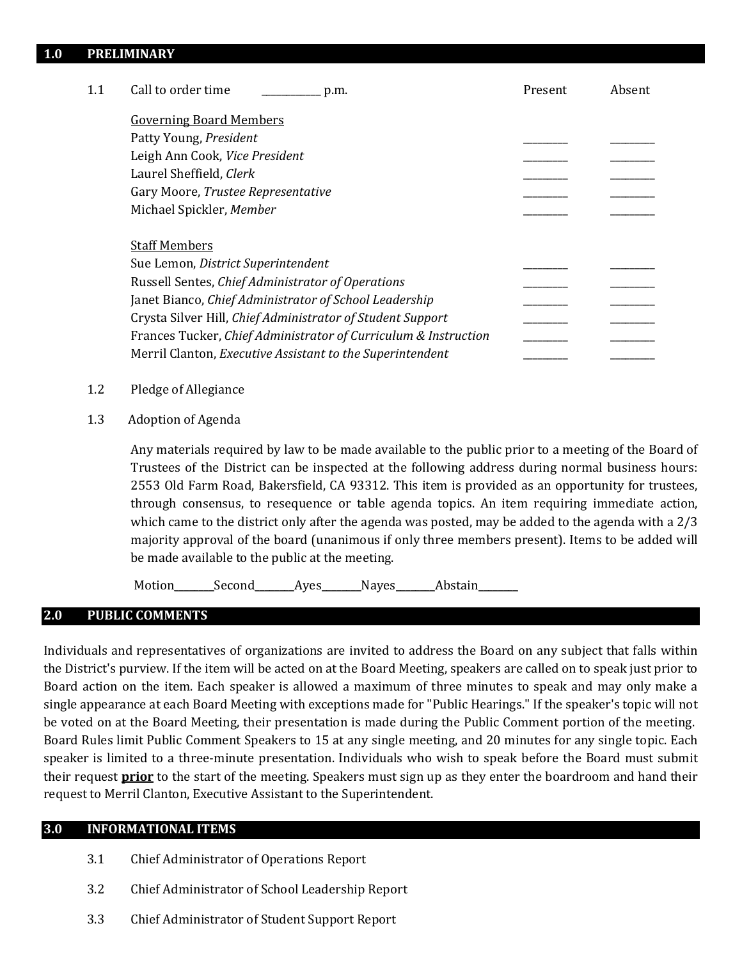### **1.0 PRELIMINARY**

| 1.1 | Call to order time<br>p.m.                                      | Present | Absent |
|-----|-----------------------------------------------------------------|---------|--------|
|     | <b>Governing Board Members</b>                                  |         |        |
|     | Patty Young, President                                          |         |        |
|     | Leigh Ann Cook, Vice President                                  |         |        |
|     | Laurel Sheffield, Clerk                                         |         |        |
|     | Gary Moore, Trustee Representative                              |         |        |
|     | Michael Spickler, Member                                        |         |        |
|     | <b>Staff Members</b>                                            |         |        |
|     | Sue Lemon, District Superintendent                              |         |        |
|     | Russell Sentes, Chief Administrator of Operations               |         |        |
|     | Janet Bianco, Chief Administrator of School Leadership          |         |        |
|     | Crysta Silver Hill, Chief Administrator of Student Support      |         |        |
|     | Frances Tucker, Chief Administrator of Curriculum & Instruction |         |        |
|     | Merril Clanton, Executive Assistant to the Superintendent       |         |        |

- 1.2 Pledge of Allegiance
- 1.3 Adoption of Agenda

Any materials required by law to be made available to the public prior to a meeting of the Board of Trustees of the District can be inspected at the following address during normal business hours: 2553 Old Farm Road, Bakersfield, CA 93312. This item is provided as an opportunity for trustees, through consensus, to resequence or table agenda topics. An item requiring immediate action, which came to the district only after the agenda was posted, may be added to the agenda with a 2/3 majority approval of the board (unanimous if only three members present). Items to be added will be made available to the public at the meeting.

Motion\_\_\_\_\_\_\_Second\_\_\_\_\_\_\_Ayes\_\_\_\_\_\_\_Nayes\_\_\_\_\_\_\_Abstain\_

### **2.0 PUBLIC COMMENTS**

Individuals and representatives of organizations are invited to address the Board on any subject that falls within the District's purview. If the item will be acted on at the Board Meeting, speakers are called on to speak just prior to Board action on the item. Each speaker is allowed a maximum of three minutes to speak and may only make a single appearance at each Board Meeting with exceptions made for "Public Hearings." If the speaker's topic will not be voted on at the Board Meeting, their presentation is made during the Public Comment portion of the meeting. Board Rules limit Public Comment Speakers to 15 at any single meeting, and 20 minutes for any single topic. Each speaker is limited to a three-minute presentation. Individuals who wish to speak before the Board must submit their request **prior** to the start of the meeting. Speakers must sign up as they enter the boardroom and hand their request to Merril Clanton, Executive Assistant to the Superintendent.

#### **3.0 INFORMATIONAL ITEMS**

- 3.1 Chief Administrator of Operations Report
- 3.2 Chief Administrator of School Leadership Report
- 3.3 Chief Administrator of Student Support Report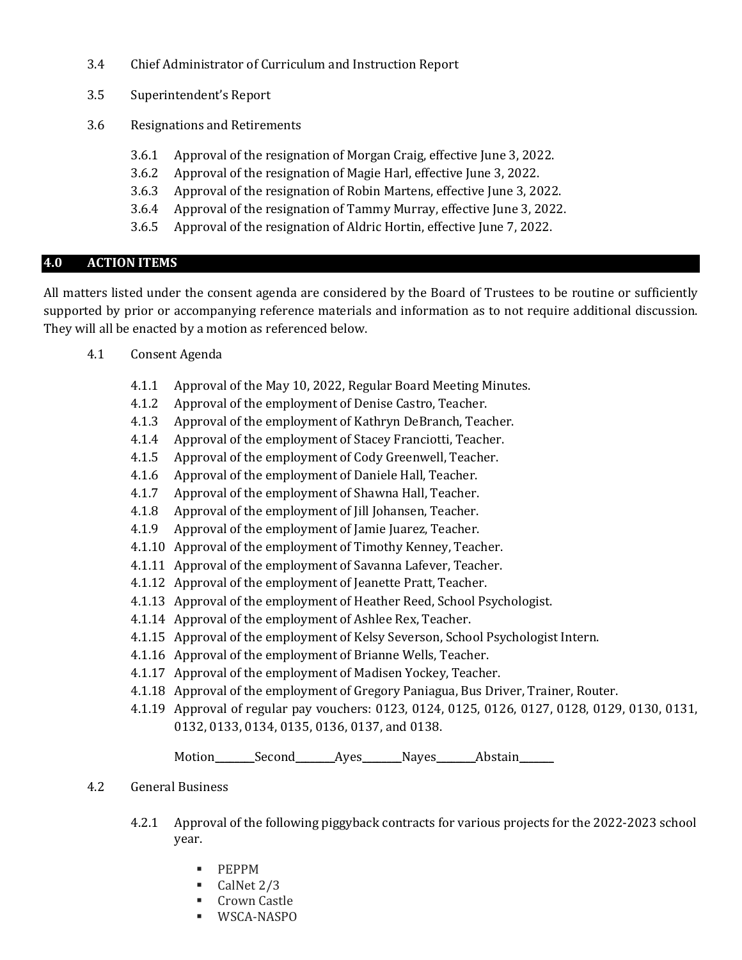- 3.4 Chief Administrator of Curriculum and Instruction Report
- 3.5 Superintendent's Report
- 3.6 Resignations and Retirements
	- 3.6.1 Approval of the resignation of Morgan Craig, effective June 3, 2022.
	- 3.6.2 Approval of the resignation of Magie Harl, effective June 3, 2022.
	- 3.6.3 Approval of the resignation of Robin Martens, effective June 3, 2022.
	- 3.6.4 Approval of the resignation of Tammy Murray, effective June 3, 2022.
	- 3.6.5 Approval of the resignation of Aldric Hortin, effective June 7, 2022.

# **4.0 ACTION ITEMS**

All matters listed under the consent agenda are considered by the Board of Trustees to be routine or sufficiently supported by prior or accompanying reference materials and information as to not require additional discussion. They will all be enacted by a motion as referenced below.

- 4.1 Consent Agenda
	- 4.1.1 Approval of the May 10, 2022, Regular Board Meeting Minutes.
	- 4.1.2 Approval of the employment of Denise Castro, Teacher.
	- 4.1.3 Approval of the employment of Kathryn DeBranch, Teacher.
	- 4.1.4 Approval of the employment of Stacey Franciotti, Teacher.
	- 4.1.5 Approval of the employment of Cody Greenwell, Teacher.
	- 4.1.6 Approval of the employment of Daniele Hall, Teacher.
	- 4.1.7 Approval of the employment of Shawna Hall, Teacher.
	- 4.1.8 Approval of the employment of Jill Johansen, Teacher.
	- 4.1.9 Approval of the employment of Jamie Juarez, Teacher.
	- 4.1.10 Approval of the employment of Timothy Kenney, Teacher.
	- 4.1.11 Approval of the employment of Savanna Lafever, Teacher.
	- 4.1.12 Approval of the employment of Jeanette Pratt, Teacher.
	- 4.1.13 Approval of the employment of Heather Reed, School Psychologist.
	- 4.1.14 Approval of the employment of Ashlee Rex, Teacher.
	- 4.1.15 Approval of the employment of Kelsy Severson, School Psychologist Intern.
	- 4.1.16 Approval of the employment of Brianne Wells, Teacher.
	- 4.1.17 Approval of the employment of Madisen Yockey, Teacher.
	- 4.1.18 Approval of the employment of Gregory Paniagua, Bus Driver, Trainer, Router.
	- 4.1.19 Approval of regular pay vouchers: 0123, 0124, 0125, 0126, 0127, 0128, 0129, 0130, 0131, 0132, 0133, 0134, 0135, 0136, 0137, and 0138.

Motion\_\_\_\_\_\_\_Second\_\_\_\_\_\_\_Ayes\_\_\_\_\_\_\_Nayes\_\_\_\_\_\_\_Abstain\_\_\_\_\_\_

- 4.2 General Business
	- 4.2.1 Approval of the following piggyback contracts for various projects for the 2022-2023 school year.
		- **•** PEPPM
		- $\blacksquare$  CalNet 2/3
		- **Crown Castle**
		- WSCA-NASPO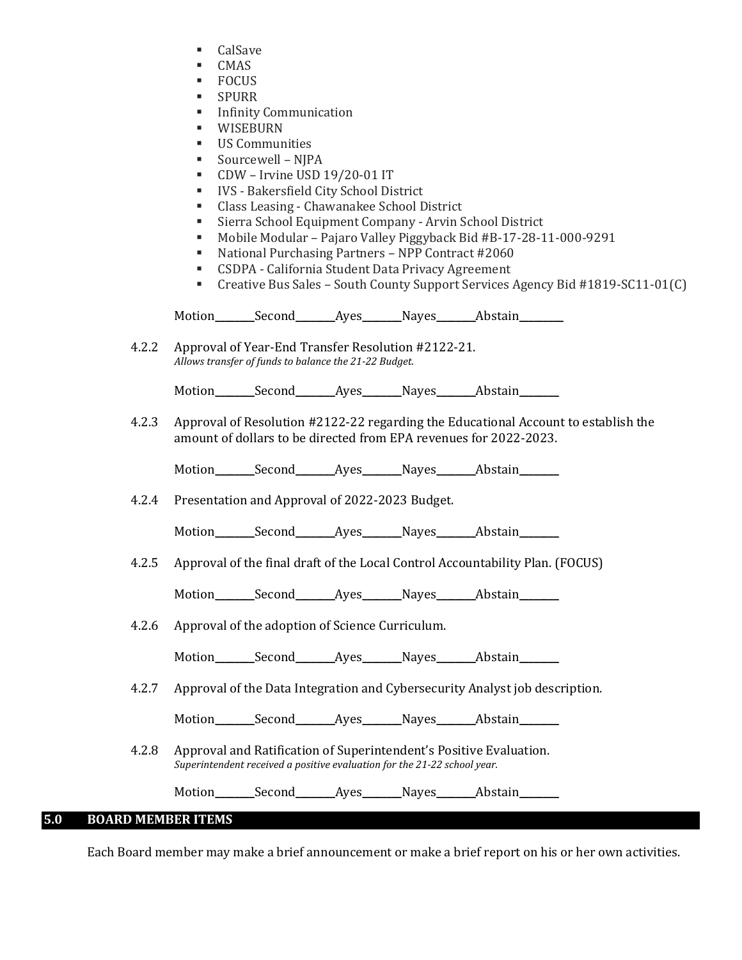- CalSave
- CMAS
- FOCUS
- **SPURR**
- **Infinity Communication**
- WISEBURN
- US Communities
- Sourcewell NJPA
- CDW Irvine USD 19/20-01 IT
- IVS Bakersfield City School District
- Class Leasing Chawanakee School District
- Sierra School Equipment Company Arvin School District
- Mobile Modular Pajaro Valley Piggyback Bid #B-17-28-11-000-9291
- National Purchasing Partners NPP Contract #2060
- CSDPA California Student Data Privacy Agreement
- Creative Bus Sales South County Support Services Agency Bid #1819-SC11-01(C)

Motion Second Ayes Nayes Abstain

4.2.2 Approval of Year-End Transfer Resolution #2122-21. *Allows transfer of funds to balance the 21-22 Budget.* 

Motion Second Ayes Nayes Abstain

4.2.3 Approval of Resolution #2122-22 regarding the Educational Account to establish the amount of dollars to be directed from EPA revenues for 2022-2023.

Motion Second Ayes Nayes Abstain

4.2.4 Presentation and Approval of 2022-2023 Budget.

Motion Second Ayes Nayes Abstain

4.2.5 Approval of the final draft of the Local Control Accountability Plan. (FOCUS)

Motion\_\_\_\_\_\_\_Second\_\_\_\_\_\_\_Ayes\_\_\_\_\_\_\_Nayes\_\_\_\_\_\_\_Abstain\_\_\_\_\_\_\_\_

4.2.6 Approval of the adoption of Science Curriculum.

Motion Second Ayes Nayes Abstain

4.2.7 Approval of the Data Integration and Cybersecurity Analyst job description.

Motion Second Ayes Nayes Abstain

4.2.8 Approval and Ratification of Superintendent's Positive Evaluation. *Superintendent received a positive evaluation for the 21-22 school year.* 

Motion Second Ayes Nayes Abstain

# **5.0 BOARD MEMBER ITEMS**

Each Board member may make a brief announcement or make a brief report on his or her own activities.